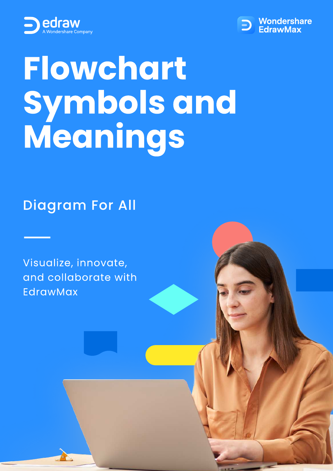



# Flowchart Symbols and Meanings

Diagram For All

Visualize, innovate, and collaborate with EdrawMax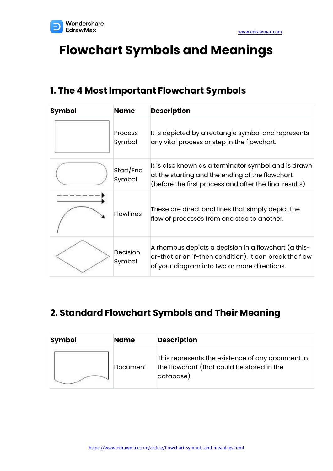

# **Flowchart Symbols and Meanings**

#### **1. The 4 Most Important Flowchart Symbols**

| <b>Symbol</b> | <b>Name</b>              | <b>Description</b>                                                                                                                                                 |  |
|---------------|--------------------------|--------------------------------------------------------------------------------------------------------------------------------------------------------------------|--|
|               | <b>Process</b><br>Symbol | It is depicted by a rectangle symbol and represents<br>any vital process or step in the flowchart.                                                                 |  |
|               | Start/End<br>Symbol      | It is also known as a terminator symbol and is drawn<br>at the starting and the ending of the flowchart<br>(before the first process and after the final results). |  |
|               | <b>Flowlines</b>         | These are directional lines that simply depict the<br>flow of processes from one step to another.                                                                  |  |
|               | Decision<br>Symbol       | A rhombus depicts a decision in a flowchart (a this-<br>or-that or an if-then condition). It can break the flow<br>of your diagram into two or more directions.    |  |

## **2. Standard Flowchart Symbols and Their Meaning**

| <b>Symbol</b> | <b>Name</b> | <b>Description</b>                                                                                           |  |
|---------------|-------------|--------------------------------------------------------------------------------------------------------------|--|
|               | Document    | This represents the existence of any document in<br>the flowchart (that could be stored in the<br>database). |  |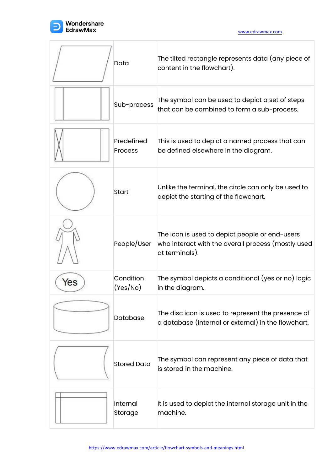

|     | Data                         | The tilted rectangle represents data (any piece of<br>content in the flowchart).                                       |
|-----|------------------------------|------------------------------------------------------------------------------------------------------------------------|
|     | Sub-process                  | The symbol can be used to depict a set of steps<br>that can be combined to form a sub-process.                         |
|     | Predefined<br><b>Process</b> | This is used to depict a named process that can<br>be defined elsewhere in the diagram.                                |
|     | <b>Start</b>                 | Unlike the terminal, the circle can only be used to<br>depict the starting of the flowchart.                           |
|     | People/User                  | The icon is used to depict people or end-users<br>who interact with the overall process (mostly used<br>at terminals). |
| ⁄es | Condition<br>(Yes/No)        | The symbol depicts a conditional (yes or no) logic<br>in the diagram.                                                  |
|     | <b>Database</b>              | The disc icon is used to represent the presence of<br>a database (internal or external) in the flowchart.              |
|     | <b>Stored Data</b>           | The symbol can represent any piece of data that<br>is stored in the machine.                                           |
|     | Internal<br>Storage          | It is used to depict the internal storage unit in the<br>machine.                                                      |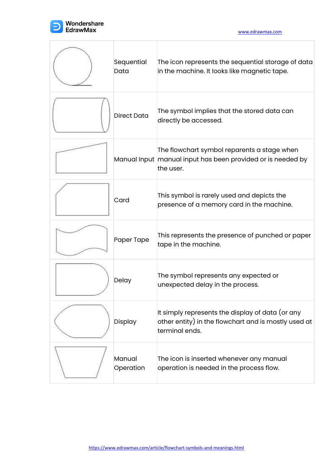

[www.edrawmax.com](https://www.edrawmax.com/?utm_source=pdf&utm_medium=referral&utm_campaign=pdf)

| Sequential<br>Data  | The icon represents the sequential storage of data<br>in the machine. It looks like magnetic tape.                         |
|---------------------|----------------------------------------------------------------------------------------------------------------------------|
| <b>Direct Data</b>  | The symbol implies that the stored data can<br>directly be accessed.                                                       |
|                     | The flowchart symbol reparents a stage when<br>Manual Input manual input has been provided or is needed by<br>the user.    |
| Card                | This symbol is rarely used and depicts the<br>presence of a memory card in the machine.                                    |
| Paper Tape          | This represents the presence of punched or paper<br>tape in the machine.                                                   |
| Delay               | The symbol represents any expected or<br>unexpected delay in the process.                                                  |
| Display             | It simply represents the display of data (or any<br>other entity) in the flowchart and is mostly used at<br>terminal ends. |
| Manual<br>Operation | The icon is inserted whenever any manual<br>operation is needed in the process flow.                                       |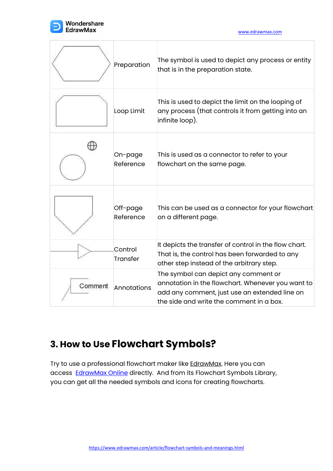

[www.edrawmax.com](https://www.edrawmax.com/?utm_source=pdf&utm_medium=referral&utm_campaign=pdf)

|         | Preparation                | The symbol is used to depict any process or entity<br>that is in the preparation state.                                                                                                |
|---------|----------------------------|----------------------------------------------------------------------------------------------------------------------------------------------------------------------------------------|
|         | Loop Limit                 | This is used to depict the limit on the looping of<br>any process (that controls it from getting into an<br>infinite loop).                                                            |
|         | On-page<br>Reference       | This is used as a connector to refer to your<br>flowchart on the same page.                                                                                                            |
|         | Off-page<br>Reference      | This can be used as a connector for your flowchart<br>on a different page.                                                                                                             |
|         | Control<br><b>Transfer</b> | It depicts the transfer of control in the flow chart.<br>That is, the control has been forwarded to any<br>other step instead of the arbitrary step.                                   |
| Comment | Annotations                | The symbol can depict any comment or<br>annotation in the flowchart. Whenever you want to<br>add any comment, just use an extended line on<br>the side and write the comment in a box. |

## **3. How to Use Flowchart Symbols?**

Try to use a professional flowchart maker like [EdrawMax](https://www.edrawsoft.com/edraw-max/?utm_source=pdf&utm_medium=referral&utm_campaign=pdf). Here you can access [EdrawMax](https://www.edrawmax.com/online/) Online directly. And from its Flowchart Symbols Library, you can get all the needed symbols and icons for creating flowcharts.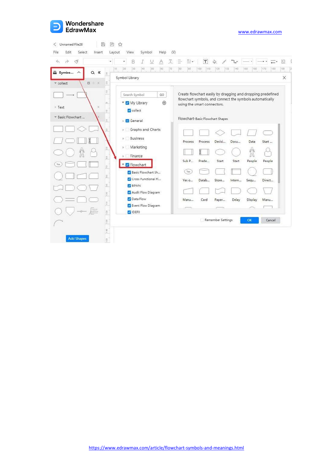

| $\rightarrow$<br>∢<br>$\leftrightarrow$                                         | B<br>¥<br>T<br>¥                           | $\overline{T} \stackrel{\sim}{=} \mathbf{v}$                                                                            | $\tau$                            |                   | $-4$<br>$\star$ $\star$ | $\frac{1}{2}$<br>Įα |
|---------------------------------------------------------------------------------|--------------------------------------------|-------------------------------------------------------------------------------------------------------------------------|-----------------------------------|-------------------|-------------------------|---------------------|
| Symbo<br>$\ll$<br>$\alpha$<br>$\wedge$<br>$\mathbb{R}$                          | 10<br>20<br>30<br>40<br>[50]<br>(60)<br>70 | 80<br>90                                                                                                                | 100<br>[159]<br>120               | 130<br>140<br>150 | 160<br>170              | 180<br>198          |
| $\alpha + x$<br>$\stackrel{\scriptstyle \odot}{\scriptstyle \sim}$<br>* collect | Symbol Library                             |                                                                                                                         |                                   |                   |                         | ×                   |
| $\frac{9}{7}$                                                                   | Search Symbol<br>GO.                       | Create flowchart easily by dragging and dropping predefined<br>flowchart symbols, and connect the symbols automatically |                                   |                   |                         |                     |
| $\infty$<br>$\times$<br><b>⊩ Text</b><br>$\dot{\mathbb{P}}$                     | $\bigoplus$<br>My Library<br>collect       |                                                                                                                         | using the smart connectors.       |                   |                         |                     |
| * Basic Flowchart<br>$\mathbb{S}$                                               | General                                    |                                                                                                                         | Flowchart-Basic Flowchart Shapes. |                   |                         |                     |
| $\frac{\square}{\square}$                                                       | Graphs and Charts<br> p                    |                                                                                                                         |                                   |                   |                         |                     |
|                                                                                 | <b>Business</b><br>$\mathbf{b}$            | Process                                                                                                                 | Process<br>Decisi                 | Docu              | Data<br>Start           |                     |
| 50                                                                              | Marketing<br> p                            |                                                                                                                         |                                   |                   | m                       |                     |
| $\mathbb{S}$                                                                    | Finance<br>b<br><b>V</b> Flowchart         | Sub P                                                                                                                   | Prede<br>Start                    | Start             | People<br>People        |                     |
| $\frac{1}{\lambda}$<br>$_{\odot}^{\odot}$                                       | Basic Flowchart Sh                         | Yes                                                                                                                     |                                   |                   |                         |                     |
| $\frac{\Theta}{\Theta}$                                                         | Cross Functional Fl<br><b>BPMN</b>         | Yes o                                                                                                                   | Datab<br>Store                    | Intern            | Direct<br>Segu          |                     |
| $\frac{6}{2}$                                                                   | Audit Flow Diagram                         |                                                                                                                         |                                   |                   |                         |                     |
| $[110]$                                                                         | Data Flow                                  | Manu                                                                                                                    | Card<br>Paper                     | Delay             | Display<br>Manu         |                     |
| 120                                                                             | Event Flow Diagram<br><b>DEFO</b>          |                                                                                                                         |                                   |                   |                         |                     |
| 601                                                                             |                                            | Remember Settings                                                                                                       |                                   |                   | OK<br>Cancel            |                     |